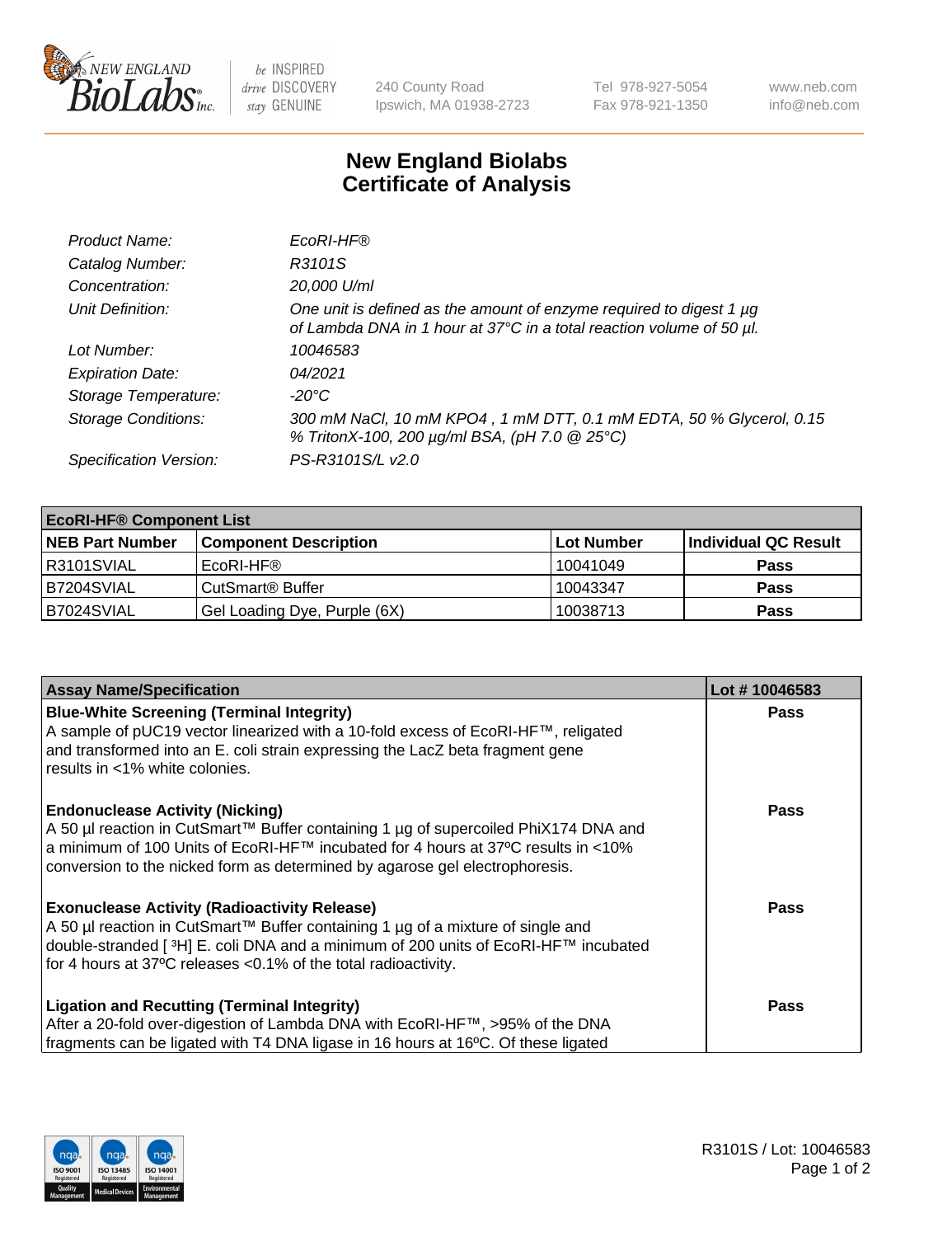

 $be$  INSPIRED drive DISCOVERY stay GENUINE

240 County Road Ipswich, MA 01938-2723 Tel 978-927-5054 Fax 978-921-1350 www.neb.com info@neb.com

## **New England Biolabs Certificate of Analysis**

| Product Name:              | EcoRI-HF®                                                                                                                                   |
|----------------------------|---------------------------------------------------------------------------------------------------------------------------------------------|
| Catalog Number:            | R3101S                                                                                                                                      |
| Concentration:             | 20,000 U/ml                                                                                                                                 |
| Unit Definition:           | One unit is defined as the amount of enzyme required to digest 1 µg<br>of Lambda DNA in 1 hour at 37°C in a total reaction volume of 50 µl. |
| Lot Number:                | 10046583                                                                                                                                    |
| <b>Expiration Date:</b>    | 04/2021                                                                                                                                     |
| Storage Temperature:       | -20°C                                                                                                                                       |
| <b>Storage Conditions:</b> | 300 mM NaCl, 10 mM KPO4, 1 mM DTT, 0.1 mM EDTA, 50 % Glycerol, 0.15<br>% TritonX-100, 200 µg/ml BSA, (pH 7.0 @ 25°C)                        |
| Specification Version:     | PS-R3101S/L v2.0                                                                                                                            |

| <b>EcoRI-HF® Component List</b> |                              |            |                      |  |  |
|---------------------------------|------------------------------|------------|----------------------|--|--|
| <b>NEB Part Number</b>          | <b>Component Description</b> | Lot Number | Individual QC Result |  |  |
| IR3101SVIAL                     | EcoRI-HF®                    | 10041049   | <b>Pass</b>          |  |  |
| IB7204SVIAL                     | CutSmart <sup>®</sup> Buffer | 10043347   | <b>Pass</b>          |  |  |
| B7024SVIAL                      | Gel Loading Dye, Purple (6X) | 10038713   | <b>Pass</b>          |  |  |

| <b>Assay Name/Specification</b>                                                                                                                                           | Lot #10046583 |
|---------------------------------------------------------------------------------------------------------------------------------------------------------------------------|---------------|
| <b>Blue-White Screening (Terminal Integrity)</b>                                                                                                                          | <b>Pass</b>   |
| A sample of pUC19 vector linearized with a 10-fold excess of EcoRI-HF™, religated<br>and transformed into an E. coli strain expressing the LacZ beta fragment gene        |               |
| results in <1% white colonies.                                                                                                                                            |               |
| <b>Endonuclease Activity (Nicking)</b>                                                                                                                                    | <b>Pass</b>   |
| A 50 µl reaction in CutSmart™ Buffer containing 1 µg of supercoiled PhiX174 DNA and<br> a minimum of 100 Units of EcoRI-HF™ incubated for 4 hours at 37°C results in <10% |               |
| conversion to the nicked form as determined by agarose gel electrophoresis.                                                                                               |               |
| <b>Exonuclease Activity (Radioactivity Release)</b>                                                                                                                       | Pass          |
| A 50 µl reaction in CutSmart™ Buffer containing 1 µg of a mixture of single and                                                                                           |               |
| double-stranded [ <sup>3</sup> H] E. coli DNA and a minimum of 200 units of EcoRI-HF™ incubated<br>for 4 hours at 37°C releases <0.1% of the total radioactivity.         |               |
|                                                                                                                                                                           |               |
| <b>Ligation and Recutting (Terminal Integrity)</b>                                                                                                                        | <b>Pass</b>   |
| After a 20-fold over-digestion of Lambda DNA with EcoRI-HF™, >95% of the DNA                                                                                              |               |
| fragments can be ligated with T4 DNA ligase in 16 hours at 16°C. Of these ligated                                                                                         |               |